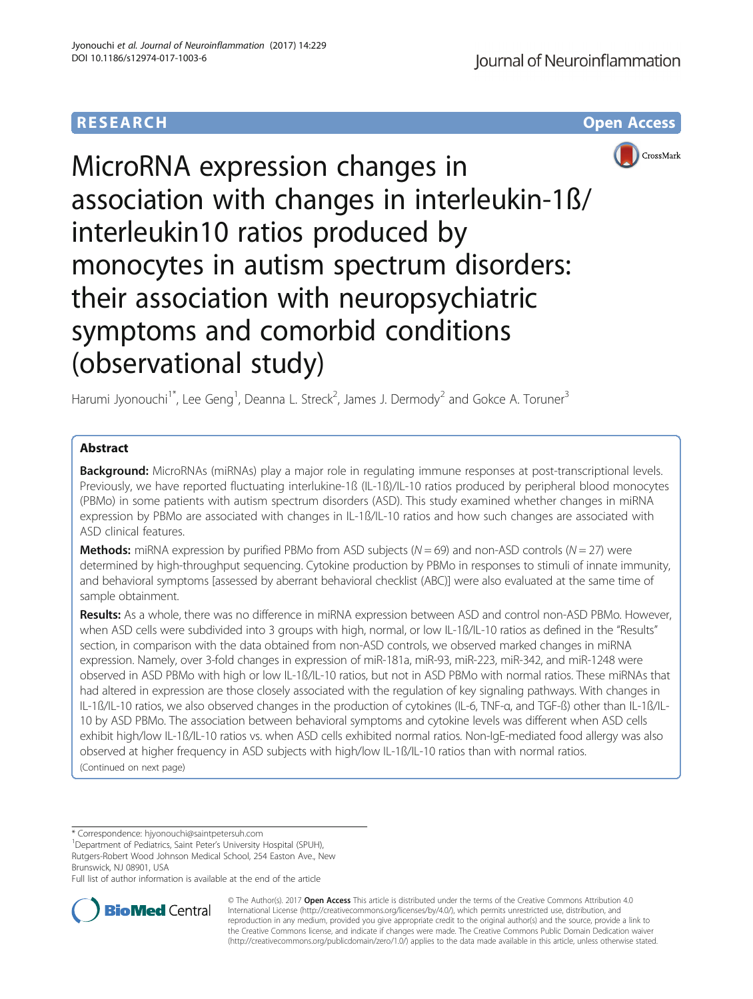



MicroRNA expression changes in association with changes in interleukin-1ß/ interleukin10 ratios produced by monocytes in autism spectrum disorders: their association with neuropsychiatric symptoms and comorbid conditions (observational study)

Harumi Jyonouchi<sup>1\*</sup>, Lee Geng<sup>1</sup>, Deanna L. Streck<sup>2</sup>, James J. Dermody<sup>2</sup> and Gokce A. Toruner<sup>3</sup>

## Abstract

Background: MicroRNAs (miRNAs) play a major role in regulating immune responses at post-transcriptional levels. Previously, we have reported fluctuating interlukine-1ß (IL-1ß)/IL-10 ratios produced by peripheral blood monocytes (PBMo) in some patients with autism spectrum disorders (ASD). This study examined whether changes in miRNA expression by PBMo are associated with changes in IL-1ß/IL-10 ratios and how such changes are associated with ASD clinical features.

**Methods:** miRNA expression by purified PBMo from ASD subjects ( $N = 69$ ) and non-ASD controls ( $N = 27$ ) were determined by high-throughput sequencing. Cytokine production by PBMo in responses to stimuli of innate immunity, and behavioral symptoms [assessed by aberrant behavioral checklist (ABC)] were also evaluated at the same time of sample obtainment.

Results: As a whole, there was no difference in miRNA expression between ASD and control non-ASD PBMo. However, when ASD cells were subdivided into 3 groups with high, normal, or low IL-1ß/IL-10 ratios as defined in the "Results" section, in comparison with the data obtained from non-ASD controls, we observed marked changes in miRNA expression. Namely, over 3-fold changes in expression of miR-181a, miR-93, miR-223, miR-342, and miR-1248 were observed in ASD PBMo with high or low IL-1ß/IL-10 ratios, but not in ASD PBMo with normal ratios. These miRNAs that had altered in expression are those closely associated with the regulation of key signaling pathways. With changes in IL-1ß/IL-10 ratios, we also observed changes in the production of cytokines (IL-6, TNF-α, and TGF-ß) other than IL-1ß/IL-10 by ASD PBMo. The association between behavioral symptoms and cytokine levels was different when ASD cells exhibit high/low IL-1ß/IL-10 ratios vs. when ASD cells exhibited normal ratios. Non-IgE-mediated food allergy was also observed at higher frequency in ASD subjects with high/low IL-1ß/IL-10 ratios than with normal ratios. (Continued on next page)

\* Correspondence: [hjyonouchi@saintpetersuh.com](mailto:hjyonouchi@saintpetersuh.com) <sup>1</sup>

<sup>1</sup> Department of Pediatrics, Saint Peter's University Hospital (SPUH),

Rutgers-Robert Wood Johnson Medical School, 254 Easton Ave., New Brunswick, NJ 08901, USA

Full list of author information is available at the end of the article



© The Author(s). 2017 **Open Access** This article is distributed under the terms of the Creative Commons Attribution 4.0 International License [\(http://creativecommons.org/licenses/by/4.0/](http://creativecommons.org/licenses/by/4.0/)), which permits unrestricted use, distribution, and reproduction in any medium, provided you give appropriate credit to the original author(s) and the source, provide a link to the Creative Commons license, and indicate if changes were made. The Creative Commons Public Domain Dedication waiver [\(http://creativecommons.org/publicdomain/zero/1.0/](http://creativecommons.org/publicdomain/zero/1.0/)) applies to the data made available in this article, unless otherwise stated.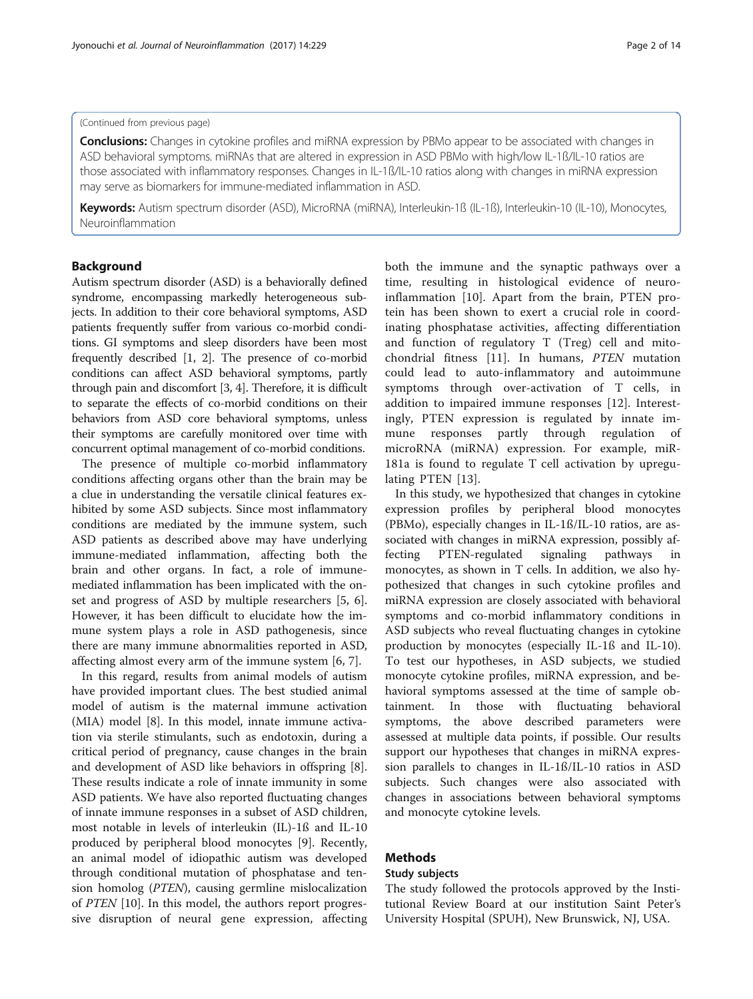#### (Continued from previous page)

**Conclusions:** Changes in cytokine profiles and miRNA expression by PBMo appear to be associated with changes in ASD behavioral symptoms. miRNAs that are altered in expression in ASD PBMo with high/low IL-1ß/IL-10 ratios are those associated with inflammatory responses. Changes in IL-1ß/IL-10 ratios along with changes in miRNA expression may serve as biomarkers for immune-mediated inflammation in ASD.

Keywords: Autism spectrum disorder (ASD), MicroRNA (miRNA), Interleukin-1ß (IL-1ß), Interleukin-10 (IL-10), Monocytes, Neuroinflammation

### Background

Autism spectrum disorder (ASD) is a behaviorally defined syndrome, encompassing markedly heterogeneous subjects. In addition to their core behavioral symptoms, ASD patients frequently suffer from various co-morbid conditions. GI symptoms and sleep disorders have been most frequently described [[1, 2\]](#page-12-0). The presence of co-morbid conditions can affect ASD behavioral symptoms, partly through pain and discomfort [\[3, 4](#page-12-0)]. Therefore, it is difficult to separate the effects of co-morbid conditions on their behaviors from ASD core behavioral symptoms, unless their symptoms are carefully monitored over time with concurrent optimal management of co-morbid conditions.

The presence of multiple co-morbid inflammatory conditions affecting organs other than the brain may be a clue in understanding the versatile clinical features exhibited by some ASD subjects. Since most inflammatory conditions are mediated by the immune system, such ASD patients as described above may have underlying immune-mediated inflammation, affecting both the brain and other organs. In fact, a role of immunemediated inflammation has been implicated with the onset and progress of ASD by multiple researchers [\[5](#page-12-0), [6](#page-12-0)]. However, it has been difficult to elucidate how the immune system plays a role in ASD pathogenesis, since there are many immune abnormalities reported in ASD, affecting almost every arm of the immune system [[6, 7\]](#page-12-0).

In this regard, results from animal models of autism have provided important clues. The best studied animal model of autism is the maternal immune activation (MIA) model [[8\]](#page-12-0). In this model, innate immune activation via sterile stimulants, such as endotoxin, during a critical period of pregnancy, cause changes in the brain and development of ASD like behaviors in offspring [\[8](#page-12-0)]. These results indicate a role of innate immunity in some ASD patients. We have also reported fluctuating changes of innate immune responses in a subset of ASD children, most notable in levels of interleukin (IL)-1ß and IL-10 produced by peripheral blood monocytes [[9\]](#page-12-0). Recently, an animal model of idiopathic autism was developed through conditional mutation of phosphatase and tension homolog (PTEN), causing germline mislocalization of PTEN [[10\]](#page-12-0). In this model, the authors report progressive disruption of neural gene expression, affecting both the immune and the synaptic pathways over a time, resulting in histological evidence of neuroinflammation [[10\]](#page-12-0). Apart from the brain, PTEN protein has been shown to exert a crucial role in coordinating phosphatase activities, affecting differentiation and function of regulatory T (Treg) cell and mitochondrial fitness [[11](#page-12-0)]. In humans, PTEN mutation could lead to auto-inflammatory and autoimmune symptoms through over-activation of T cells, in addition to impaired immune responses [[12\]](#page-12-0). Interestingly, PTEN expression is regulated by innate immune responses partly through regulation of microRNA (miRNA) expression. For example, miR-181a is found to regulate T cell activation by upregu-lating PTEN [[13\]](#page-12-0).

In this study, we hypothesized that changes in cytokine expression profiles by peripheral blood monocytes (PBMo), especially changes in IL-1ß/IL-10 ratios, are associated with changes in miRNA expression, possibly affecting PTEN-regulated signaling pathways in monocytes, as shown in T cells. In addition, we also hypothesized that changes in such cytokine profiles and miRNA expression are closely associated with behavioral symptoms and co-morbid inflammatory conditions in ASD subjects who reveal fluctuating changes in cytokine production by monocytes (especially IL-1ß and IL-10). To test our hypotheses, in ASD subjects, we studied monocyte cytokine profiles, miRNA expression, and behavioral symptoms assessed at the time of sample obtainment. In those with fluctuating behavioral symptoms, the above described parameters were assessed at multiple data points, if possible. Our results support our hypotheses that changes in miRNA expression parallels to changes in IL-1ß/IL-10 ratios in ASD subjects. Such changes were also associated with changes in associations between behavioral symptoms and monocyte cytokine levels.

### Methods

### Study subjects

The study followed the protocols approved by the Institutional Review Board at our institution Saint Peter's University Hospital (SPUH), New Brunswick, NJ, USA.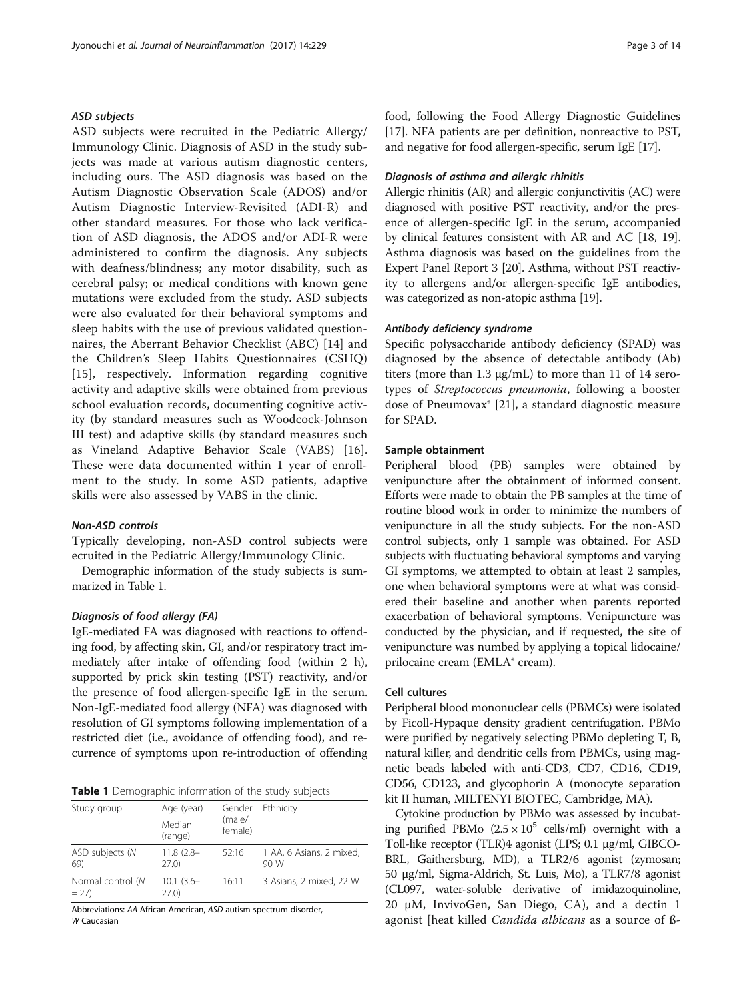### ASD subjects

ASD subjects were recruited in the Pediatric Allergy/ Immunology Clinic. Diagnosis of ASD in the study subjects was made at various autism diagnostic centers, including ours. The ASD diagnosis was based on the Autism Diagnostic Observation Scale (ADOS) and/or Autism Diagnostic Interview-Revisited (ADI-R) and other standard measures. For those who lack verification of ASD diagnosis, the ADOS and/or ADI-R were administered to confirm the diagnosis. Any subjects with deafness/blindness; any motor disability, such as cerebral palsy; or medical conditions with known gene mutations were excluded from the study. ASD subjects were also evaluated for their behavioral symptoms and sleep habits with the use of previous validated questionnaires, the Aberrant Behavior Checklist (ABC) [[14\]](#page-12-0) and the Children's Sleep Habits Questionnaires (CSHQ) [[15\]](#page-12-0), respectively. Information regarding cognitive activity and adaptive skills were obtained from previous school evaluation records, documenting cognitive activity (by standard measures such as Woodcock-Johnson III test) and adaptive skills (by standard measures such as Vineland Adaptive Behavior Scale (VABS) [\[16](#page-12-0)]. These were data documented within 1 year of enrollment to the study. In some ASD patients, adaptive skills were also assessed by VABS in the clinic.

#### Non-ASD controls

Typically developing, non-ASD control subjects were ecruited in the Pediatric Allergy/Immunology Clinic.

Demographic information of the study subjects is summarized in Table 1.

#### Diagnosis of food allergy (FA)

IgE-mediated FA was diagnosed with reactions to offending food, by affecting skin, GI, and/or respiratory tract immediately after intake of offending food (within 2 h), supported by prick skin testing (PST) reactivity, and/or the presence of food allergen-specific IgE in the serum. Non-IgE-mediated food allergy (NFA) was diagnosed with resolution of GI symptoms following implementation of a restricted diet (i.e., avoidance of offending food), and recurrence of symptoms upon re-introduction of offending

|  |  | Table 1 Demographic information of the study subjects |  |  |  |  |
|--|--|-------------------------------------------------------|--|--|--|--|
|--|--|-------------------------------------------------------|--|--|--|--|

| Study group                 | Age (year)<br>Median<br>(range) | Gender<br>(male/<br>female) | Ethnicity                        |
|-----------------------------|---------------------------------|-----------------------------|----------------------------------|
| ASD subjects $(N =$<br>69)  | $11.8(2.8 -$<br>27.0            | 52:16                       | 1 AA, 6 Asians, 2 mixed,<br>90 W |
| Normal control (N<br>$= 27$ | $10.1(3.6 -$<br>27.0            | 16:11                       | 3 Asians, 2 mixed, 22 W          |

Abbreviations: AA African American, ASD autism spectrum disorder, W Caucasian

food, following the Food Allergy Diagnostic Guidelines [[17](#page-12-0)]. NFA patients are per definition, nonreactive to PST, and negative for food allergen-specific, serum IgE [\[17\]](#page-12-0).

### Diagnosis of asthma and allergic rhinitis

Allergic rhinitis (AR) and allergic conjunctivitis (AC) were diagnosed with positive PST reactivity, and/or the presence of allergen-specific IgE in the serum, accompanied by clinical features consistent with AR and AC [[18, 19](#page-12-0)]. Asthma diagnosis was based on the guidelines from the Expert Panel Report 3 [\[20\]](#page-12-0). Asthma, without PST reactivity to allergens and/or allergen-specific IgE antibodies, was categorized as non-atopic asthma [[19](#page-12-0)].

### Antibody deficiency syndrome

Specific polysaccharide antibody deficiency (SPAD) was diagnosed by the absence of detectable antibody (Ab) titers (more than 1.3  $\mu$ g/mL) to more than 11 of 14 serotypes of Streptococcus pneumonia, following a booster dose of Pneumovax® [[21\]](#page-12-0), a standard diagnostic measure for SPAD.

### Sample obtainment

Peripheral blood (PB) samples were obtained by venipuncture after the obtainment of informed consent. Efforts were made to obtain the PB samples at the time of routine blood work in order to minimize the numbers of venipuncture in all the study subjects. For the non-ASD control subjects, only 1 sample was obtained. For ASD subjects with fluctuating behavioral symptoms and varying GI symptoms, we attempted to obtain at least 2 samples, one when behavioral symptoms were at what was considered their baseline and another when parents reported exacerbation of behavioral symptoms. Venipuncture was conducted by the physician, and if requested, the site of venipuncture was numbed by applying a topical lidocaine/ prilocaine cream (EMLA® cream).

### Cell cultures

Peripheral blood mononuclear cells (PBMCs) were isolated by Ficoll-Hypaque density gradient centrifugation. PBMo were purified by negatively selecting PBMo depleting T, B, natural killer, and dendritic cells from PBMCs, using magnetic beads labeled with anti-CD3, CD7, CD16, CD19, CD56, CD123, and glycophorin A (monocyte separation kit II human, MILTENYI BIOTEC, Cambridge, MA).

Cytokine production by PBMo was assessed by incubating purified PBMo  $(2.5 \times 10^5 \text{ cells/ml})$  overnight with a Toll-like receptor (TLR)4 agonist (LPS; 0.1 μg/ml, GIBCO-BRL, Gaithersburg, MD), a TLR2/6 agonist (zymosan; 50 μg/ml, Sigma-Aldrich, St. Luis, Mo), a TLR7/8 agonist (CL097, water-soluble derivative of imidazoquinoline, 20 μM, InvivoGen, San Diego, CA), and a dectin 1 agonist [heat killed Candida albicans as a source of ß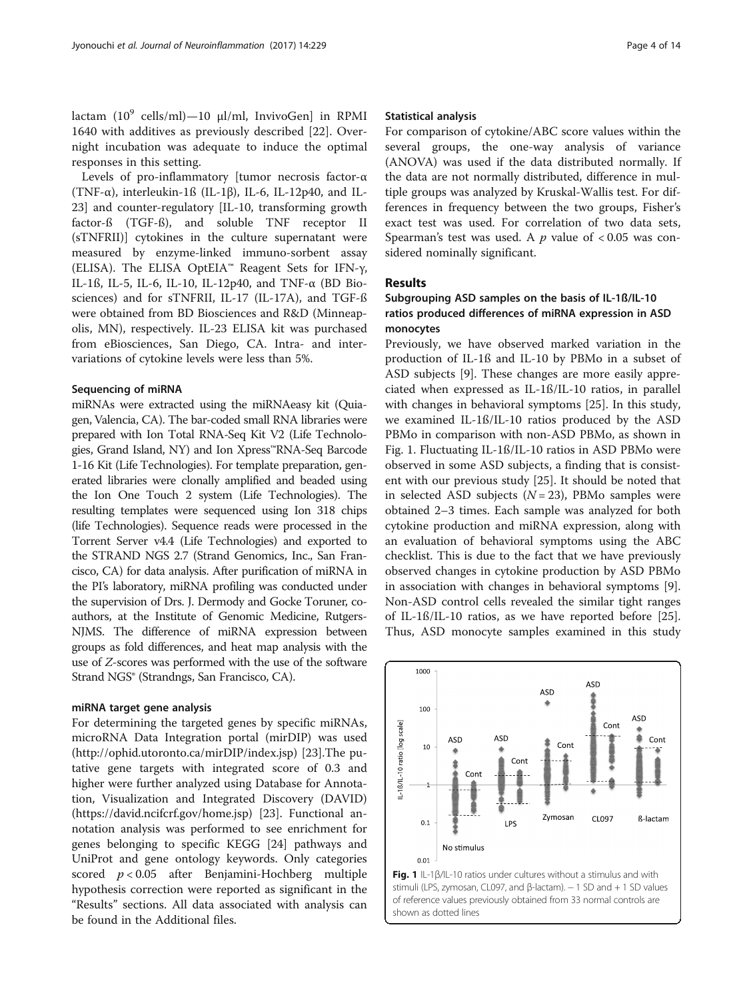<span id="page-3-0"></span>lactam  $(10^9 \text{ cells/ml}) - 10 \text{ µl/ml}$ , InvivoGen] in RPMI 1640 with additives as previously described [\[22](#page-12-0)]. Overnight incubation was adequate to induce the optimal responses in this setting.

Levels of pro-inflammatory [tumor necrosis factor-α (TNF-α), interleukin-1ß (IL-1β), IL-6, IL-12p40, and IL-23] and counter-regulatory [IL-10, transforming growth factor-ß (TGF-ß), and soluble TNF receptor II (sTNFRII)] cytokines in the culture supernatant were measured by enzyme-linked immuno-sorbent assay (ELISA). The ELISA OptEIA™ Reagent Sets for IFN-γ, IL-1ß, IL-5, IL-6, IL-10, IL-12p40, and TNF-α (BD Biosciences) and for sTNFRII, IL-17 (IL-17A), and TGF-ß were obtained from BD Biosciences and R&D (Minneapolis, MN), respectively. IL-23 ELISA kit was purchased from eBiosciences, San Diego, CA. Intra- and intervariations of cytokine levels were less than 5%.

#### Sequencing of miRNA

miRNAs were extracted using the miRNAeasy kit (Quiagen, Valencia, CA). The bar-coded small RNA libraries were prepared with Ion Total RNA-Seq Kit V2 (Life Technologies, Grand Island, NY) and Ion Xpress™RNA-Seq Barcode 1-16 Kit (Life Technologies). For template preparation, generated libraries were clonally amplified and beaded using the Ion One Touch 2 system (Life Technologies). The resulting templates were sequenced using Ion 318 chips (life Technologies). Sequence reads were processed in the Torrent Server v4.4 (Life Technologies) and exported to the STRAND NGS 2.7 (Strand Genomics, Inc., San Francisco, CA) for data analysis. After purification of miRNA in the PI's laboratory, miRNA profiling was conducted under the supervision of Drs. J. Dermody and Gocke Toruner, coauthors, at the Institute of Genomic Medicine, Rutgers-NJMS. The difference of miRNA expression between groups as fold differences, and heat map analysis with the use of Z-scores was performed with the use of the software Strand NGS® (Strandngs, San Francisco, CA).

### miRNA target gene analysis

For determining the targeted genes by specific miRNAs, microRNA Data Integration portal (mirDIP) was used (<http://ophid.utoronto.ca/mirDIP/index.jsp>) [[23\]](#page-12-0).The putative gene targets with integrated score of 0.3 and higher were further analyzed using Database for Annotation, Visualization and Integrated Discovery (DAVID) ([https://david.ncifcrf.gov/home.jsp\)](https://david.ncifcrf.gov/home.jsp) [\[23](#page-12-0)]. Functional annotation analysis was performed to see enrichment for genes belonging to specific KEGG [\[24](#page-12-0)] pathways and UniProt and gene ontology keywords. Only categories scored  $p < 0.05$  after Benjamini-Hochberg multiple hypothesis correction were reported as significant in the "Results" sections. All data associated with analysis can be found in the Additional files.

#### Statistical analysis

For comparison of cytokine/ABC score values within the several groups, the one-way analysis of variance (ANOVA) was used if the data distributed normally. If the data are not normally distributed, difference in multiple groups was analyzed by Kruskal-Wallis test. For differences in frequency between the two groups, Fisher's exact test was used. For correlation of two data sets, Spearman's test was used. A  $p$  value of < 0.05 was considered nominally significant.

### Results

### Subgrouping ASD samples on the basis of IL-1ß/IL-10 ratios produced differences of miRNA expression in ASD monocytes

Previously, we have observed marked variation in the production of IL-1ß and IL-10 by PBMo in a subset of ASD subjects [\[9\]](#page-12-0). These changes are more easily appreciated when expressed as IL-1ß/IL-10 ratios, in parallel with changes in behavioral symptoms [\[25](#page-12-0)]. In this study, we examined IL-1ß/IL-10 ratios produced by the ASD PBMo in comparison with non-ASD PBMo, as shown in Fig. 1. Fluctuating IL-1ß/IL-10 ratios in ASD PBMo were observed in some ASD subjects, a finding that is consistent with our previous study [\[25\]](#page-12-0). It should be noted that in selected ASD subjects  $(N = 23)$ , PBMo samples were obtained 2–3 times. Each sample was analyzed for both cytokine production and miRNA expression, along with an evaluation of behavioral symptoms using the ABC checklist. This is due to the fact that we have previously observed changes in cytokine production by ASD PBMo in association with changes in behavioral symptoms [\[9](#page-12-0)]. Non-ASD control cells revealed the similar tight ranges of IL-1ß/IL-10 ratios, as we have reported before [\[25](#page-12-0)]. Thus, ASD monocyte samples examined in this study



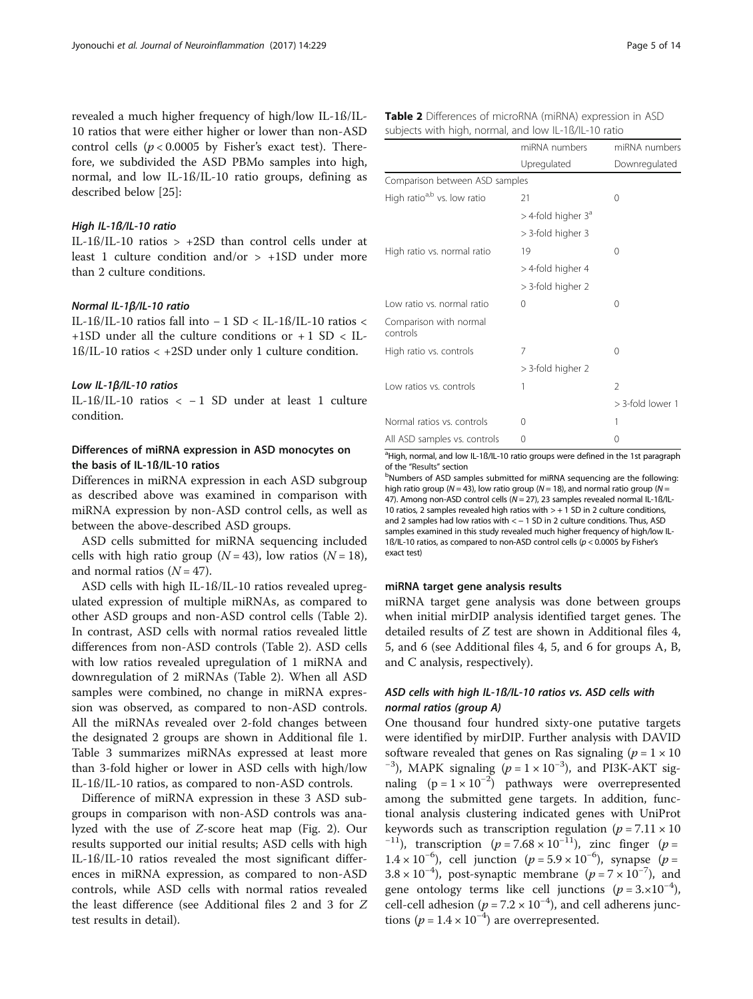<span id="page-4-0"></span>revealed a much higher frequency of high/low IL-1ß/IL-10 ratios that were either higher or lower than non-ASD control cells ( $p < 0.0005$  by Fisher's exact test). Therefore, we subdivided the ASD PBMo samples into high, normal, and low IL-1ß/IL-10 ratio groups, defining as described below [[25](#page-12-0)]:

### High IL-1ß/IL-10 ratio

IL-1ß/IL-10 ratios > +2SD than control cells under at least 1 culture condition and/or > +1SD under more than 2 culture conditions.

### Normal IL-1β/IL-10 ratio

IL-1ß/IL-10 ratios fall into − 1 SD < IL-1ß/IL-10 ratios < +1SD under all the culture conditions or  $+1$  SD < IL-1ß/IL-10 ratios < +2SD under only 1 culture condition.

#### Low IL-1β/IL-10 ratios

IL-1ß/IL-10 ratios < − 1 SD under at least 1 culture condition.

### Differences of miRNA expression in ASD monocytes on the basis of IL-1ß/IL-10 ratios

Differences in miRNA expression in each ASD subgroup as described above was examined in comparison with miRNA expression by non-ASD control cells, as well as between the above-described ASD groups.

ASD cells submitted for miRNA sequencing included cells with high ratio group ( $N = 43$ ), low ratios ( $N = 18$ ), and normal ratios  $(N = 47)$ .

ASD cells with high IL-1ß/IL-10 ratios revealed upregulated expression of multiple miRNAs, as compared to other ASD groups and non-ASD control cells (Table 2). In contrast, ASD cells with normal ratios revealed little differences from non-ASD controls (Table 2). ASD cells with low ratios revealed upregulation of 1 miRNA and downregulation of 2 miRNAs (Table 2). When all ASD samples were combined, no change in miRNA expression was observed, as compared to non-ASD controls. All the miRNAs revealed over 2-fold changes between the designated 2 groups are shown in Additional file [1](#page-11-0). Table [3](#page-5-0) summarizes miRNAs expressed at least more than 3-fold higher or lower in ASD cells with high/low IL-1ß/IL-10 ratios, as compared to non-ASD controls.

Difference of miRNA expression in these 3 ASD subgroups in comparison with non-ASD controls was analyzed with the use of Z-score heat map (Fig. [2\)](#page-5-0). Our results supported our initial results; ASD cells with high IL-1ß/IL-10 ratios revealed the most significant differences in miRNA expression, as compared to non-ASD controls, while ASD cells with normal ratios revealed the least difference (see Additional files [2](#page-11-0) and [3](#page-11-0) for Z test results in detail).

| Table 2 Differences of microRNA (miRNA) expression in ASD |  |
|-----------------------------------------------------------|--|
| subjects with high, normal, and low IL-1B/IL-10 ratio     |  |

|                                         | miRNA numbers                    | miRNA numbers    |
|-----------------------------------------|----------------------------------|------------------|
|                                         | Upregulated                      | Downregulated    |
| Comparison between ASD samples          |                                  |                  |
| High ratio <sup>a,b</sup> vs. low ratio | 21                               | $\Omega$         |
|                                         | $>$ 4-fold higher 3 <sup>a</sup> |                  |
|                                         | > 3-fold higher 3                |                  |
| High ratio vs. normal ratio             | 19                               | 0                |
|                                         | > 4-fold higher 4                |                  |
|                                         | > 3-fold higher 2                |                  |
| Low ratio vs. normal ratio              | 0                                | 0                |
| Comparison with normal<br>controls      |                                  |                  |
| High ratio vs. controls                 | 7                                | 0                |
|                                         | > 3-fold higher 2                |                  |
| Low ratios vs. controls                 | 1                                | 2                |
|                                         |                                  | > 3-fold lower 1 |
| Normal ratios vs. controls              | 0                                | 1                |
| All ASD samples vs. controls            | 0                                | 0                |

<sup>a</sup>High, normal, and low IL-1ß/IL-10 ratio groups were defined in the 1st paragraph of the "[Results](#page-3-0)" section <sup>b</sup>

<sup>b</sup>Numbers of ASD samples submitted for miRNA sequencing are the following: high ratio group ( $N = 43$ ), low ratio group ( $N = 18$ ), and normal ratio group ( $N = 18$ 47). Among non-ASD control cells ( $N = 27$ ), 23 samples revealed normal IL-1 $\beta$ /IL-10 ratios, 2 samples revealed high ratios with  $> + 1$  SD in 2 culture conditions. and 2 samples had low ratios with  $\lt$  - 1 SD in 2 culture conditions. Thus, ASD samples examined in this study revealed much higher frequency of high/low IL-1ß/IL-10 ratios, as compared to non-ASD control cells ( $p < 0.0005$  by Fisher's exact test)

### miRNA target gene analysis results

miRNA target gene analysis was done between groups when initial mirDIP analysis identified target genes. The detailed results of Z test are shown in Additional files [4](#page-11-0), [5,](#page-11-0) and [6](#page-11-0) (see Additional files [4, 5,](#page-11-0) and [6](#page-11-0) for groups A, B, and C analysis, respectively).

### ASD cells with high IL-1ß/IL-10 ratios vs. ASD cells with normal ratios (group A)

One thousand four hundred sixty-one putative targets were identified by mirDIP. Further analysis with DAVID software revealed that genes on Ras signaling ( $p = 1 \times 10$ ), MAPK signaling  $(p = 1 \times 10^{-3})$ , and PI3K-AKT signaling  $(p = 1 \times 10^{-2})$  pathways were overrepresented among the submitted gene targets. In addition, functional analysis clustering indicated genes with UniProt keywords such as transcription regulation (*p* = 7.11 × 10<sup>-11</sup>), transcription (*p* = 7.68 × 10<sup>-11</sup>), zinc finger (*p* = 1.4 × 10<sup>-6</sup>), cell junction ( $p = 5.9 \times 10^{-6}$ ), synapse ( $p =$  $3.8 \times 10^{-4}$ ), post-synaptic membrane ( $p = 7 \times 10^{-7}$ ), and gene ontology terms like cell junctions ( $p = 3. \times 10^{-4}$ ), cell-cell adhesion ( $p = 7.2 \times 10^{-4}$ ), and cell adherens junctions ( $p = 1.4 \times 10^{-4}$ ) are overrepresented.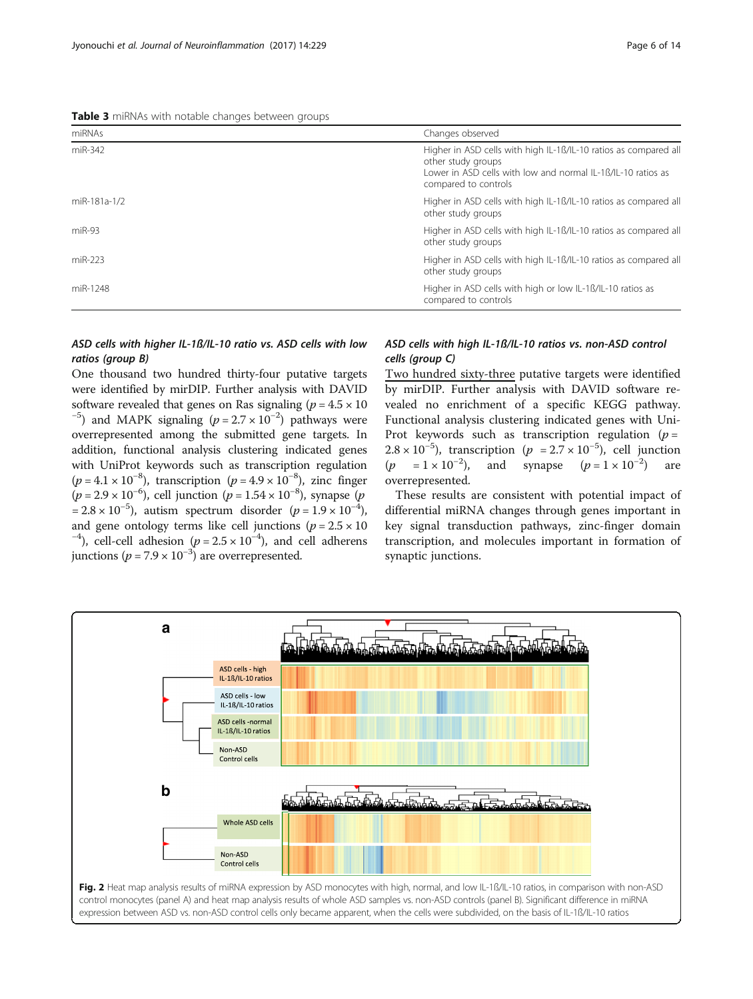ratios (group B) One thousand two hundred thirty-four putative targets were identified by mirDIP. Further analysis with DAVID software revealed that genes on Ras signaling ( $p = 4.5 \times 10$ ) and MAPK signaling  $(p = 2.7 \times 10^{-2})$  pathways were overrepresented among the submitted gene targets. In addition, functional analysis clustering indicated genes with UniProt keywords such as transcription regulation  $(p = 4.1 \times 10^{-8})$ , transcription  $(p = 4.9 \times 10^{-8})$ , zinc finger  $(p = 2.9 \times 10^{-6})$ , cell junction  $(p = 1.54 \times 10^{-8})$ , synapse  $(p = 1.54 \times 10^{-8})$  $= 2.8 \times 10^{-5}$ ), autism spectrum disorder (p = 1.9 × 10<sup>-4</sup>), and gene ontology terms like cell junctions ( $p = 2.5 \times 10$ ), cell-cell adhesion ( $p = 2.5 \times 10^{-4}$ ), and cell adherens junctions ( $p = 7.9 \times 10^{-3}$ ) are overrepresented.

ASD cells with higher IL-1ß/IL-10 ratio vs. ASD cells with low

### ASD cells with high IL-1ß/IL-10 ratios vs. non-ASD control cells (group C)

Two hundred sixty-three putative targets were identified by mirDIP. Further analysis with DAVID software revealed no enrichment of a specific KEGG pathway. Functional analysis clustering indicated genes with Uni-Prot keywords such as transcription regulation ( $p =$  $2.8 \times 10^{-5}$ ), transcription (p = 2.7 × 10<sup>-5</sup>), cell junction  $(p = 1 \times 10^{-2}),$  $(p = 1 \times 10^{-2})$  are overrepresented.

These results are consistent with potential impact of differential miRNA changes through genes important in key signal transduction pathways, zinc-finger domain transcription, and molecules important in formation of synaptic junctions.

<span id="page-5-0"></span>Table 3 miRNAs with notable changes between groups

| a                                       |                                                                                                                                                                                                                                                                                                                                                                                                                                                |
|-----------------------------------------|------------------------------------------------------------------------------------------------------------------------------------------------------------------------------------------------------------------------------------------------------------------------------------------------------------------------------------------------------------------------------------------------------------------------------------------------|
| ASD cells - high<br>IL-1ß/IL-10 ratios  |                                                                                                                                                                                                                                                                                                                                                                                                                                                |
| ASD cells - low<br>IL-1ß/IL-10 ratios   |                                                                                                                                                                                                                                                                                                                                                                                                                                                |
| ASD cells -normal<br>IL-1ß/IL-10 ratios |                                                                                                                                                                                                                                                                                                                                                                                                                                                |
| Non-ASD<br>Control cells                |                                                                                                                                                                                                                                                                                                                                                                                                                                                |
| b                                       | <b>Tomor and and the Commission</b>                                                                                                                                                                                                                                                                                                                                                                                                            |
| Whole ASD cells                         |                                                                                                                                                                                                                                                                                                                                                                                                                                                |
| Non-ASD<br>Control cells                |                                                                                                                                                                                                                                                                                                                                                                                                                                                |
|                                         | Fig. 2 Heat map analysis results of miRNA expression by ASD monocytes with high, normal, and low IL-1ß/IL-10 ratios, in comparison with non-ASD<br>control monocytes (panel A) and heat map analysis results of whole ASD samples vs. non-ASD controls (panel B). Significant difference in miRNA<br>expression between ASD vs. non-ASD control cells only became apparent, when the cells were subdivided, on the basis of IL-1ß/IL-10 ratios |

| miRNAs       | Changes observed                                                                                                                                                               |
|--------------|--------------------------------------------------------------------------------------------------------------------------------------------------------------------------------|
| $miR-342$    | Higher in ASD cells with high IL-1B/IL-10 ratios as compared all<br>other study groups<br>Lower in ASD cells with low and normal IL-1B/IL-10 ratios as<br>compared to controls |
| miR-181a-1/2 | Higher in ASD cells with high IL-1B/IL-10 ratios as compared all<br>other study groups                                                                                         |
| $miR-93$     | Higher in ASD cells with high IL-1B/IL-10 ratios as compared all<br>other study groups                                                                                         |
| miR-223      | Higher in ASD cells with high IL-1B/IL-10 ratios as compared all<br>other study groups                                                                                         |
| miR-1248     | Higher in ASD cells with high or low IL-1B/IL-10 ratios as<br>compared to controls                                                                                             |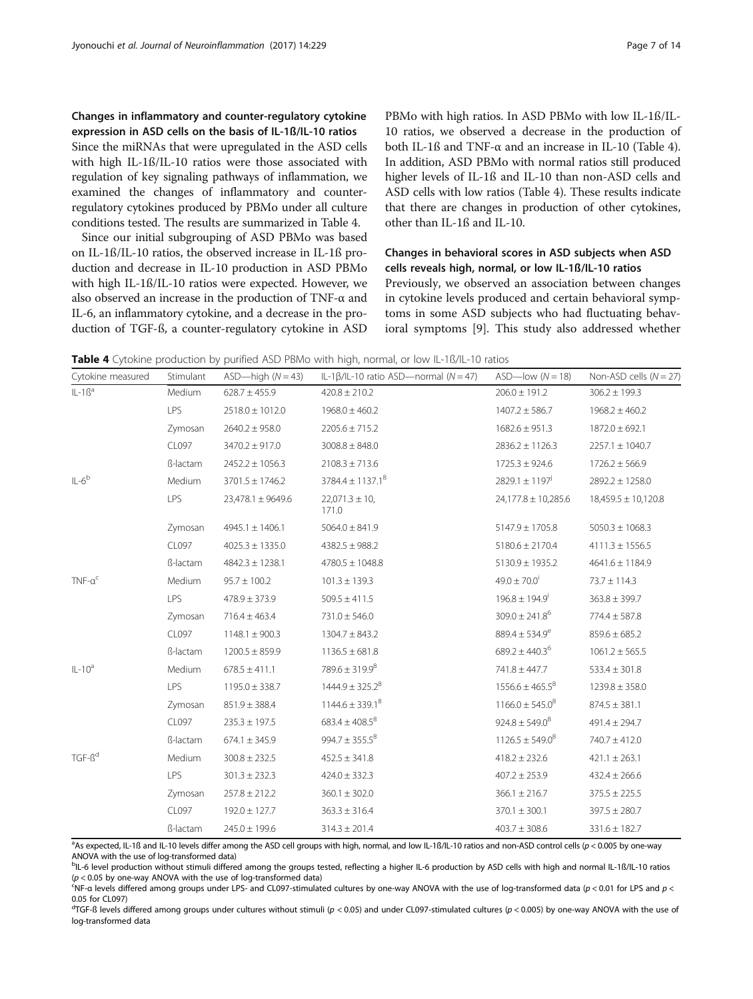### <span id="page-6-0"></span>Changes in inflammatory and counter-regulatory cytokine expression in ASD cells on the basis of IL-1ß/IL-10 ratios Since the miRNAs that were upregulated in the ASD cells with high IL-1ß/IL-10 ratios were those associated with regulation of key signaling pathways of inflammation, we examined the changes of inflammatory and counterregulatory cytokines produced by PBMo under all culture conditions tested. The results are summarized in Table 4.

Since our initial subgrouping of ASD PBMo was based on IL-1ß/IL-10 ratios, the observed increase in IL-1ß production and decrease in IL-10 production in ASD PBMo with high IL-1ß/IL-10 ratios were expected. However, we also observed an increase in the production of TNF- $\alpha$  and IL-6, an inflammatory cytokine, and a decrease in the production of TGF-ß, a counter-regulatory cytokine in ASD

PBMo with high ratios. In ASD PBMo with low IL-1ß/IL-10 ratios, we observed a decrease in the production of both IL-1ß and TNF-α and an increase in IL-10 (Table 4). In addition, ASD PBMo with normal ratios still produced higher levels of IL-1ß and IL-10 than non-ASD cells and ASD cells with low ratios (Table 4). These results indicate that there are changes in production of other cytokines, other than IL-1ß and IL-10.

### Changes in behavioral scores in ASD subjects when ASD cells reveals high, normal, or low IL-1ß/IL-10 ratios

Previously, we observed an association between changes in cytokine levels produced and certain behavioral symptoms in some ASD subjects who had fluctuating behavioral symptoms [[9\]](#page-12-0). This study also addressed whether

Table 4 Cytokine production by purified ASD PBMo with high, normal, or low IL-1ß/IL-10 ratios

| Cytokine measured  | Stimulant  | ASD—high $(N = 43)$   | IL-1 $\beta$ /IL-10 ratio ASD—normal (N = 47) | $ASD$ —low ( $N = 18$ )        | Non-ASD cells $(N = 27)$ |
|--------------------|------------|-----------------------|-----------------------------------------------|--------------------------------|--------------------------|
| $IL-1\beta^a$      | Medium     | $628.7 \pm 455.9$     | $420.8 \pm 210.2$                             | $206.0 \pm 191.2$              | $306.2 \pm 199.3$        |
|                    | <b>LPS</b> | $2518.0 \pm 1012.0$   | $1968.0 \pm 460.2$                            | $1407.2 \pm 586.7$             | $1968.2 \pm 460.2$       |
|                    | Zymosan    | $2640.2 \pm 958.0$    | $2205.6 \pm 715.2$                            | $1682.6 \pm 951.3$             | $1872.0 \pm 692.1$       |
|                    | CL097      | $3470.2 \pm 917.0$    | $3008.8 \pm 848.0$                            | $2836.2 \pm 1126.3$            | $2257.1 \pm 1040.7$      |
|                    | ß-lactam   | $2452.2 \pm 1056.3$   | $2108.3 \pm 713.6$                            | $1725.3 \pm 924.6$             | $1726.2 \pm 566.9$       |
| $IL-6b$            | Medium     | $3701.5 \pm 1746.2$   | $3784.4 \pm 1137.1^8$                         | $2829.1 \pm 1197$ <sup>j</sup> | $2892.2 \pm 1258.0$      |
|                    | <b>LPS</b> | $23,478.1 \pm 9649.6$ | $22,071.3 \pm 10,$<br>171.0                   | $24,177.8 \pm 10,285.6$        | $18,459.5 \pm 10,120.8$  |
|                    | Zymosan    | $4945.1 \pm 1406.1$   | $5064.0 \pm 841.9$                            | $5147.9 \pm 1705.8$            | $5050.3 \pm 1068.3$      |
|                    | CL097      | $4025.3 \pm 1335.0$   | $4382.5 \pm 988.2$                            | $5180.6 \pm 2170.4$            | $4111.3 \pm 1556.5$      |
|                    | ß-lactam   | $4842.3 \pm 1238.1$   | $4780.5 \pm 1048.8$                           | $5130.9 \pm 1935.2$            | $4641.6 \pm 1184.9$      |
| $TNF-a^c$          | Medium     | $95.7 \pm 100.2$      | $101.3 \pm 139.3$                             | $49.0 \pm 70.0$ <sup>i</sup>   | $73.7 \pm 114.3$         |
|                    | <b>LPS</b> | $478.9 \pm 373.9$     | $509.5 \pm 411.5$                             | $196.8 \pm 194.9$ <sup>i</sup> | $363.8 \pm 399.7$        |
|                    | Zymosan    | $716.4 \pm 463.4$     | $731.0 \pm 546.0$                             | $309.0 \pm 241.8^6$            | $774.4 \pm 587.8$        |
|                    | CL097      | $1148.1 \pm 900.3$    | $1304.7 \pm 843.2$                            | $889.4 \pm 534.9^e$            | $859.6 \pm 685.2$        |
|                    | ß-lactam   | $1200.5 \pm 859.9$    | $1136.5 \pm 681.8$                            | $689.2 \pm 440.3^6$            | $1061.2 \pm 565.5$       |
| $IL-10a$           | Medium     | $678.5 \pm 411.1$     | $789.6 \pm 319.9^8$                           | $741.8 \pm 447.7$              | $533.4 \pm 301.8$        |
|                    | <b>LPS</b> | $1195.0 \pm 338.7$    | $1444.9 \pm 325.2^8$                          | $1556.6 \pm 465.5^8$           | $1239.8 \pm 358.0$       |
|                    | Zymosan    | $851.9 \pm 388.4$     | $1144.6 \pm 339.1^8$                          | $1166.0 \pm 545.0^8$           | $874.5 \pm 381.1$        |
|                    | CL097      | $235.3 \pm 197.5$     | $683.4 \pm 408.5^8$                           | $924.8 \pm 549.0^8$            | $491.4 \pm 294.7$        |
|                    | ß-lactam   | $674.1 \pm 345.9$     | $994.7 \pm 355.5^8$                           | $1126.5 \pm 549.0^8$           | $740.7 \pm 412.0$        |
| TGF-ß <sup>d</sup> | Medium     | $300.8 \pm 232.5$     | $452.5 \pm 341.8$                             | $418.2 \pm 232.6$              | $421.1 \pm 263.1$        |
|                    | <b>LPS</b> | $301.3 \pm 232.3$     | $424.0 \pm 332.3$                             | $407.2 \pm 253.9$              | $432.4 \pm 266.6$        |
|                    | Zymosan    | $257.8 \pm 212.2$     | $360.1 \pm 302.0$                             | $366.1 \pm 216.7$              | $375.5 \pm 225.5$        |
|                    | CL097      | $192.0 \pm 127.7$     | $363.3 \pm 316.4$                             | $370.1 \pm 300.1$              | $397.5 \pm 280.7$        |
|                    | ß-lactam   | $245.0 \pm 199.6$     | $314.3 \pm 201.4$                             | $403.7 \pm 308.6$              | $331.6 \pm 182.7$        |

as expected, IL-18 and IL-10 levels differ among the ASD cell groups with high, normal, and low IL-1ß/IL-10 ratios and non-ASD control cells (p < 0.005 by one-way ANOVA with the use of log-transformed data)

b<br>L-6 level production without stimuli differed among the groups tested, reflecting a higher IL-6 production by ASD cells with high and normal IL-1ß/IL-10 ratios  $(p < 0.05$  by one-way ANOVA with the use of log-transformed data)

<sup>C</sup>NF-a levels differed among groups under LPS- and CL097-stimulated cultures by one-way ANOVA with the use of log-transformed data (p < 0.01 for LPS and p < 0.05 for CL097)

 $^{\rm d}$ TGF-ß levels differed among groups under cultures without stimuli (p < 0.05) and under CL097-stimulated cultures (p < 0.005) by one-way ANOVA with the use of log-transformed data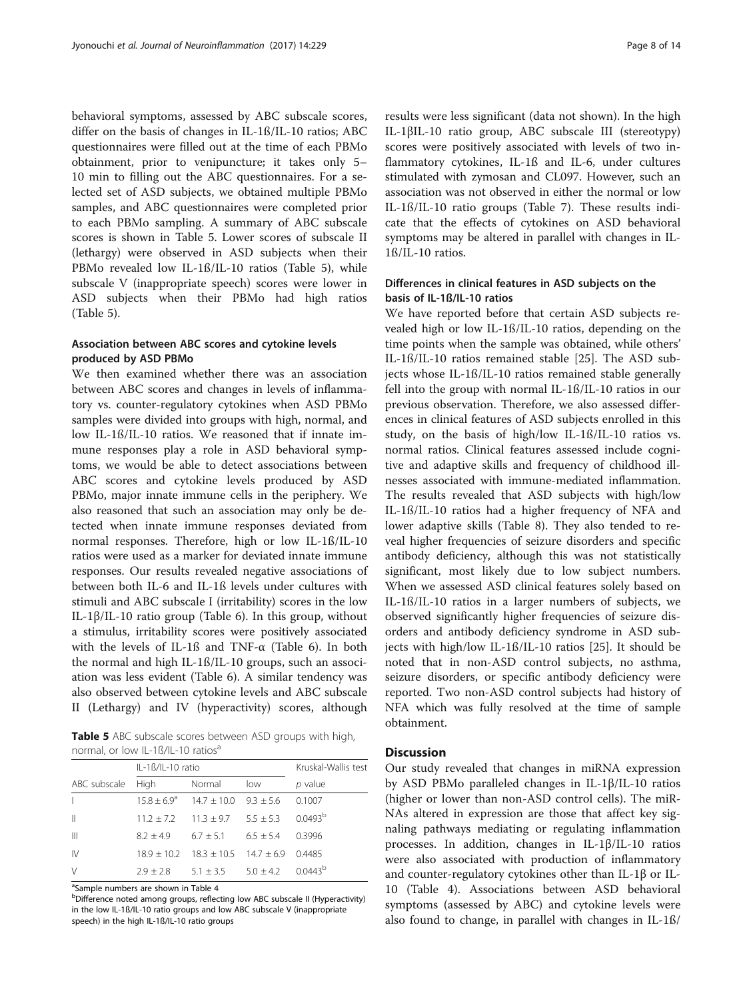<span id="page-7-0"></span>behavioral symptoms, assessed by ABC subscale scores, differ on the basis of changes in IL-1ß/IL-10 ratios; ABC questionnaires were filled out at the time of each PBMo obtainment, prior to venipuncture; it takes only 5– 10 min to filling out the ABC questionnaires. For a selected set of ASD subjects, we obtained multiple PBMo samples, and ABC questionnaires were completed prior to each PBMo sampling. A summary of ABC subscale scores is shown in Table 5. Lower scores of subscale II (lethargy) were observed in ASD subjects when their PBMo revealed low IL-1ß/IL-10 ratios (Table 5), while subscale V (inappropriate speech) scores were lower in ASD subjects when their PBMo had high ratios (Table 5).

### Association between ABC scores and cytokine levels produced by ASD PBMo

We then examined whether there was an association between ABC scores and changes in levels of inflammatory vs. counter-regulatory cytokines when ASD PBMo samples were divided into groups with high, normal, and low IL-1ß/IL-10 ratios. We reasoned that if innate immune responses play a role in ASD behavioral symptoms, we would be able to detect associations between ABC scores and cytokine levels produced by ASD PBMo, major innate immune cells in the periphery. We also reasoned that such an association may only be detected when innate immune responses deviated from normal responses. Therefore, high or low IL-1ß/IL-10 ratios were used as a marker for deviated innate immune responses. Our results revealed negative associations of between both IL-6 and IL-1ß levels under cultures with stimuli and ABC subscale I (irritability) scores in the low IL-1β/IL-10 ratio group (Table [6](#page-8-0)). In this group, without a stimulus, irritability scores were positively associated with the levels of IL-1ß and TNF-α (Table [6](#page-8-0)). In both the normal and high IL-1ß/IL-10 groups, such an association was less evident (Table [6\)](#page-8-0). A similar tendency was also observed between cytokine levels and ABC subscale II (Lethargy) and IV (hyperactivity) scores, although

Table 5 ABC subscale scores between ASD groups with high, normal, or low IL-1ß/IL-10 ratios<sup>a</sup>

|               | IL-1ß/IL-10 ratio |                                                      |             | Kruskal-Wallis test |
|---------------|-------------------|------------------------------------------------------|-------------|---------------------|
| ABC subscale  | <b>High</b>       | Normal                                               | low         | $p$ value           |
|               |                   | $15.8 \pm 6.9^{\circ}$ 14.7 $\pm$ 10.0 9.3 $\pm$ 5.6 |             | 0.1007              |
| $\parallel$   |                   | $11.2 \pm 7.2$ $11.3 \pm 9.7$ $5.5 \pm 5.3$          |             | 0.0493 <sup>b</sup> |
| $\mathbb{H}$  | $8.2 + 4.9$       | $6.7 + 5.1$                                          | $6.5 + 5.4$ | 0.3996              |
| $\mathsf{IV}$ |                   | $18.9 \pm 10.2$ $18.3 \pm 10.5$ $14.7 \pm 6.9$       |             | 0.4485              |
| $\vee$        | $2.9 \pm 2.8$     | $5.1 \pm 3.5$                                        | $5.0 + 4.2$ | $0.0443^{b}$        |

<sup>a</sup>Sample numbers are shown in Table [4](#page-6-0)

b<sub>Difference noted among groups, reflecting low ABC subscale II (Hyperactivity)</sub> in the low IL-1ß/IL-10 ratio groups and low ABC subscale V (inappropriate speech) in the high IL-1ß/IL-10 ratio groups

results were less significant (data not shown). In the high IL-1βIL-10 ratio group, ABC subscale III (stereotypy) scores were positively associated with levels of two inflammatory cytokines, IL-1ß and IL-6, under cultures stimulated with zymosan and CL097. However, such an association was not observed in either the normal or low IL-1ß/IL-10 ratio groups (Table [7\)](#page-9-0). These results indicate that the effects of cytokines on ASD behavioral symptoms may be altered in parallel with changes in IL-1ß/IL-10 ratios.

### Differences in clinical features in ASD subjects on the basis of IL-1ß/IL-10 ratios

We have reported before that certain ASD subjects revealed high or low IL-1ß/IL-10 ratios, depending on the time points when the sample was obtained, while others' IL-1ß/IL-10 ratios remained stable [[25](#page-12-0)]. The ASD subjects whose IL-1ß/IL-10 ratios remained stable generally fell into the group with normal IL-1ß/IL-10 ratios in our previous observation. Therefore, we also assessed differences in clinical features of ASD subjects enrolled in this study, on the basis of high/low IL-1ß/IL-10 ratios vs. normal ratios. Clinical features assessed include cognitive and adaptive skills and frequency of childhood illnesses associated with immune-mediated inflammation. The results revealed that ASD subjects with high/low IL-1ß/IL-10 ratios had a higher frequency of NFA and lower adaptive skills (Table [8](#page-9-0)). They also tended to reveal higher frequencies of seizure disorders and specific antibody deficiency, although this was not statistically significant, most likely due to low subject numbers. When we assessed ASD clinical features solely based on IL-1ß/IL-10 ratios in a larger numbers of subjects, we observed significantly higher frequencies of seizure disorders and antibody deficiency syndrome in ASD subjects with high/low IL-1ß/IL-10 ratios [\[25](#page-12-0)]. It should be noted that in non-ASD control subjects, no asthma, seizure disorders, or specific antibody deficiency were reported. Two non-ASD control subjects had history of NFA which was fully resolved at the time of sample obtainment.

### **Discussion**

Our study revealed that changes in miRNA expression by ASD PBMo paralleled changes in IL-1β/IL-10 ratios (higher or lower than non-ASD control cells). The miR-NAs altered in expression are those that affect key signaling pathways mediating or regulating inflammation processes. In addition, changes in IL-1β/IL-10 ratios were also associated with production of inflammatory and counter-regulatory cytokines other than IL-1β or IL-10 (Table [4\)](#page-6-0). Associations between ASD behavioral symptoms (assessed by ABC) and cytokine levels were also found to change, in parallel with changes in IL-1ß/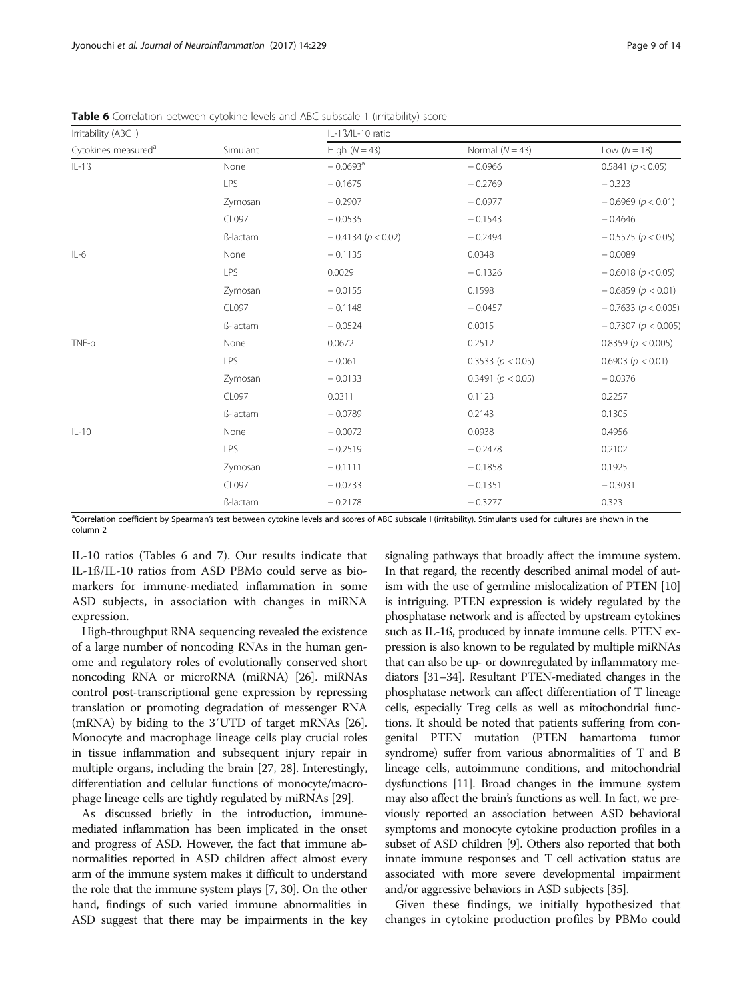| Irritability (ABC I)            |            | IL-1ß/IL-10 ratio      |                       |                       |
|---------------------------------|------------|------------------------|-----------------------|-----------------------|
| Cytokines measured <sup>a</sup> | Simulant   | High $(N = 43)$        | Normal $(N = 43)$     | Low $(N = 18)$        |
| $IL-1B$                         | None       | $-0.0693$ <sup>a</sup> | $-0.0966$             | 0.5841 (p < 0.05)     |
|                                 | LPS        | $-0.1675$              | $-0.2769$             | $-0.323$              |
|                                 | Zymosan    | $-0.2907$              | $-0.0977$             | $-0.6969 (p < 0.01)$  |
|                                 | CL097      | $-0.0535$              | $-0.1543$             | $-0.4646$             |
|                                 | ß-lactam   | $-0.4134(p < 0.02)$    | $-0.2494$             | $-0.5575(p < 0.05)$   |
| $IL-6$                          | None       | $-0.1135$              | 0.0348                | $-0.0089$             |
|                                 | LPS        | 0.0029                 | $-0.1326$             | $-0.6018(p < 0.05)$   |
|                                 | Zymosan    | $-0.0155$              | 0.1598                | $-0.6859(p < 0.01)$   |
|                                 | CL097      | $-0.1148$              | $-0.0457$             | $-0.7633(p < 0.005)$  |
|                                 | ß-lactam   | $-0.0524$              | 0.0015                | $-0.7307(p < 0.005)$  |
| $TNF-a$                         | None       | 0.0672                 | 0.2512                | 0.8359(p < 0.005)     |
|                                 | <b>LPS</b> | $-0.061$               | 0.3533 ( $p < 0.05$ ) | 0.6903 ( $p < 0.01$ ) |
|                                 | Zymosan    | $-0.0133$              | 0.3491 ( $p < 0.05$ ) | $-0.0376$             |
|                                 | CL097      | 0.0311                 | 0.1123                | 0.2257                |
|                                 | ß-lactam   | $-0.0789$              | 0.2143                | 0.1305                |
| $IL-10$                         | None       | $-0.0072$              | 0.0938                | 0.4956                |
|                                 | LPS        | $-0.2519$              | $-0.2478$             | 0.2102                |
|                                 | Zymosan    | $-0.1111$              | $-0.1858$             | 0.1925                |
|                                 | CL097      | $-0.0733$              | $-0.1351$             | $-0.3031$             |
|                                 | ß-lactam   | $-0.2178$              | $-0.3277$             | 0.323                 |

<span id="page-8-0"></span>Table 6 Correlation between cytokine levels and ABC subscale 1 (irritability) score

<sup>a</sup>Correlation coefficient by Spearman's test between cytokine levels and scores of ABC subscale I (irritability). Stimulants used for cultures are shown in the column 2

IL-10 ratios (Tables 6 and [7\)](#page-9-0). Our results indicate that IL-1ß/IL-10 ratios from ASD PBMo could serve as biomarkers for immune-mediated inflammation in some ASD subjects, in association with changes in miRNA expression.

High-throughput RNA sequencing revealed the existence of a large number of noncoding RNAs in the human genome and regulatory roles of evolutionally conserved short noncoding RNA or microRNA (miRNA) [\[26\]](#page-12-0). miRNAs control post-transcriptional gene expression by repressing translation or promoting degradation of messenger RNA (mRNA) by biding to the 3′UTD of target mRNAs [[26](#page-12-0)]. Monocyte and macrophage lineage cells play crucial roles in tissue inflammation and subsequent injury repair in multiple organs, including the brain [[27](#page-12-0), [28](#page-12-0)]. Interestingly, differentiation and cellular functions of monocyte/macrophage lineage cells are tightly regulated by miRNAs [\[29\]](#page-12-0).

As discussed briefly in the introduction, immunemediated inflammation has been implicated in the onset and progress of ASD. However, the fact that immune abnormalities reported in ASD children affect almost every arm of the immune system makes it difficult to understand the role that the immune system plays [[7](#page-12-0), [30](#page-12-0)]. On the other hand, findings of such varied immune abnormalities in ASD suggest that there may be impairments in the key signaling pathways that broadly affect the immune system. In that regard, the recently described animal model of autism with the use of germline mislocalization of PTEN [\[10](#page-12-0)] is intriguing. PTEN expression is widely regulated by the phosphatase network and is affected by upstream cytokines such as IL-1ß, produced by innate immune cells. PTEN expression is also known to be regulated by multiple miRNAs that can also be up- or downregulated by inflammatory mediators [\[31](#page-12-0)–[34\]](#page-12-0). Resultant PTEN-mediated changes in the phosphatase network can affect differentiation of T lineage cells, especially Treg cells as well as mitochondrial functions. It should be noted that patients suffering from congenital PTEN mutation (PTEN hamartoma tumor syndrome) suffer from various abnormalities of T and B lineage cells, autoimmune conditions, and mitochondrial dysfunctions [[11](#page-12-0)]. Broad changes in the immune system may also affect the brain's functions as well. In fact, we previously reported an association between ASD behavioral symptoms and monocyte cytokine production profiles in a subset of ASD children [[9](#page-12-0)]. Others also reported that both innate immune responses and T cell activation status are associated with more severe developmental impairment and/or aggressive behaviors in ASD subjects [\[35\]](#page-12-0).

Given these findings, we initially hypothesized that changes in cytokine production profiles by PBMo could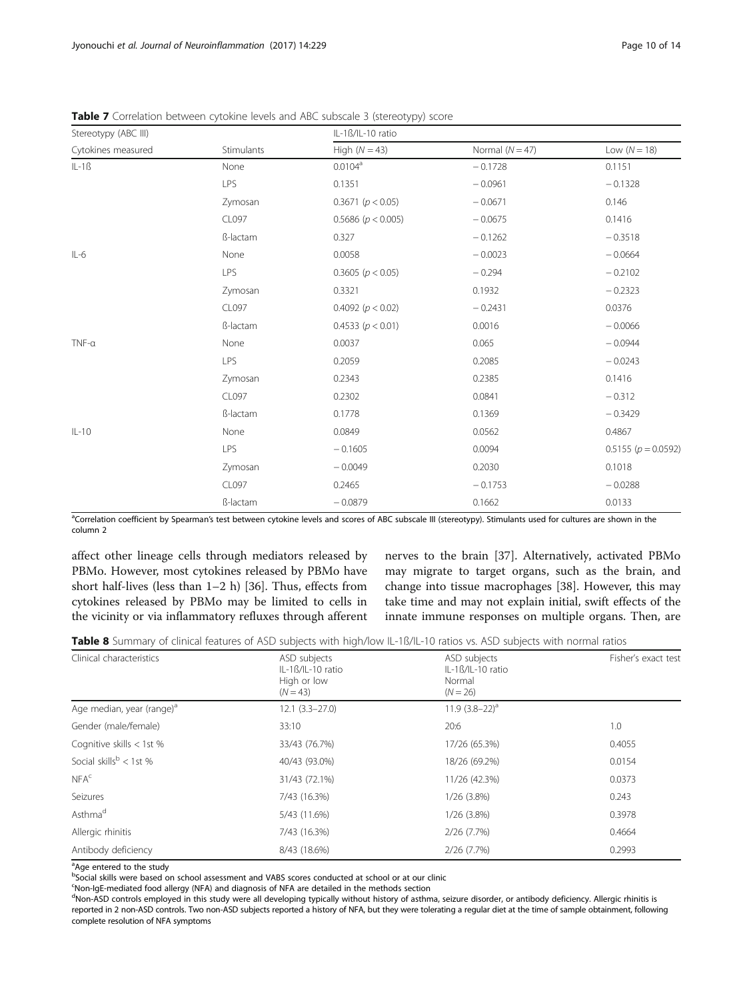| Stereotypy (ABC III) |            | IL-1ß/IL-10 ratio      |                   |                      |
|----------------------|------------|------------------------|-------------------|----------------------|
| Cytokines measured   | Stimulants | High $(N = 43)$        | Normal $(N = 47)$ | Low $(N = 18)$       |
| $IL-1B$              | None       | $0.0104^a$             | $-0.1728$         | 0.1151               |
|                      | LPS        | 0.1351                 | $-0.0961$         | $-0.1328$            |
|                      | Zymosan    | 0.3671 (p < 0.05)      | $-0.0671$         | 0.146                |
|                      | CL097      | 0.5686 ( $p < 0.005$ ) | $-0.0675$         | 0.1416               |
|                      | ß-lactam   | 0.327                  | $-0.1262$         | $-0.3518$            |
| $IL-6$               | None       | 0.0058                 | $-0.0023$         | $-0.0664$            |
|                      | LPS        | 0.3605 (p < 0.05)      | $-0.294$          | $-0.2102$            |
|                      | Zymosan    | 0.3321                 | 0.1932            | $-0.2323$            |
|                      | CL097      | 0.4092 ( $p < 0.02$ )  | $-0.2431$         | 0.0376               |
|                      | ß-lactam   | 0.4533 ( $p < 0.01$ )  | 0.0016            | $-0.0066$            |
| $TNF-a$              | None       | 0.0037                 | 0.065             | $-0.0944$            |
|                      | <b>LPS</b> | 0.2059                 | 0.2085            | $-0.0243$            |
|                      | Zymosan    | 0.2343                 | 0.2385            | 0.1416               |
|                      | CL097      | 0.2302                 | 0.0841            | $-0.312$             |
|                      | ß-lactam   | 0.1778                 | 0.1369            | $-0.3429$            |
| $IL-10$              | None       | 0.0849                 | 0.0562            | 0.4867               |
|                      | <b>LPS</b> | $-0.1605$              | 0.0094            | $0.5155(p = 0.0592)$ |
|                      | Zymosan    | $-0.0049$              | 0.2030            | 0.1018               |
|                      | CL097      | 0.2465                 | $-0.1753$         | $-0.0288$            |
|                      | ß-lactam   | $-0.0879$              | 0.1662            | 0.0133               |

<span id="page-9-0"></span>Table 7 Correlation between cytokine levels and ABC subscale 3 (stereotypy) score

<sup>a</sup>Correlation coefficient by Spearman's test between cytokine levels and scores of ABC subscale III (stereotypy). Stimulants used for cultures are shown in the column 2

affect other lineage cells through mediators released by PBMo. However, most cytokines released by PBMo have short half-lives (less than 1–2 h) [[36\]](#page-12-0). Thus, effects from cytokines released by PBMo may be limited to cells in the vicinity or via inflammatory refluxes through afferent nerves to the brain [\[37](#page-12-0)]. Alternatively, activated PBMo may migrate to target organs, such as the brain, and change into tissue macrophages [\[38\]](#page-12-0). However, this may take time and may not explain initial, swift effects of the innate immune responses on multiple organs. Then, are

Table 8 Summary of clinical features of ASD subjects with high/low IL-1ß/IL-10 ratios vs. ASD subjects with normal ratios

| Clinical characteristics              | ASD subjects<br>IL-1ß/IL-10 ratio<br>High or low<br>$(N = 43)$ | ASD subjects<br>IL-1ß/IL-10 ratio<br>Normal<br>$(N = 26)$ | Fisher's exact test |
|---------------------------------------|----------------------------------------------------------------|-----------------------------------------------------------|---------------------|
| Age median, year (range) <sup>a</sup> | $12.1(3.3-27.0)$                                               | 11.9 $(3.8-22)^a$                                         |                     |
| Gender (male/female)                  | 33:10                                                          | 20:6                                                      | 1.0                 |
| Cognitive skills $<$ 1st %            | 33/43 (76.7%)                                                  | 17/26 (65.3%)                                             | 0.4055              |
| Social skills <sup>b</sup> < 1st %    | 40/43 (93.0%)                                                  | 18/26 (69.2%)                                             | 0.0154              |
| NFA <sup>c</sup>                      | 31/43 (72.1%)                                                  | 11/26 (42.3%)                                             | 0.0373              |
| Seizures                              | 7/43 (16.3%)                                                   | $1/26$ $(3.8\%)$                                          | 0.243               |
| Asthma <sup>d</sup>                   | 5/43 (11.6%)                                                   | $1/26$ $(3.8\%)$                                          | 0.3978              |
| Allergic rhinitis                     | 7/43 (16.3%)                                                   | 2/26(7.7%)                                                | 0.4664              |
| Antibody deficiency                   | 8/43 (18.6%)                                                   | 2/26(7.7%)                                                | 0.2993              |

<sup>a</sup>Age entered to the study

**bSocial skills were based on school assessment and VABS scores conducted at school or at our clinic** 

<sup>c</sup>Non-IgE-mediated food allergy (NFA) and diagnosis of NFA are detailed in the methods section

<sup>d</sup>Non-ASD controls employed in this study were all developing typically without history of asthma, seizure disorder, or antibody deficiency. Allergic rhinitis is reported in 2 non-ASD controls. Two non-ASD subjects reported a history of NFA, but they were tolerating a regular diet at the time of sample obtainment, following complete resolution of NFA symptoms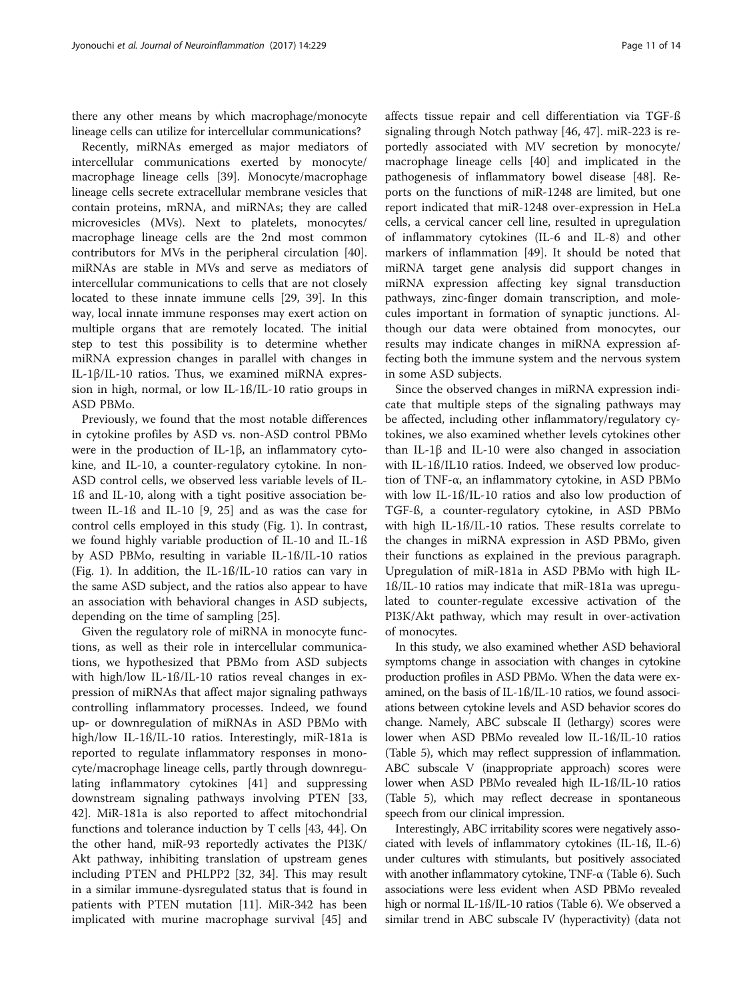there any other means by which macrophage/monocyte lineage cells can utilize for intercellular communications?

Recently, miRNAs emerged as major mediators of intercellular communications exerted by monocyte/ macrophage lineage cells [[39](#page-12-0)]. Monocyte/macrophage lineage cells secrete extracellular membrane vesicles that contain proteins, mRNA, and miRNAs; they are called microvesicles (MVs). Next to platelets, monocytes/ macrophage lineage cells are the 2nd most common contributors for MVs in the peripheral circulation [\[40](#page-12-0)]. miRNAs are stable in MVs and serve as mediators of intercellular communications to cells that are not closely located to these innate immune cells [\[29, 39\]](#page-12-0). In this way, local innate immune responses may exert action on multiple organs that are remotely located. The initial step to test this possibility is to determine whether miRNA expression changes in parallel with changes in IL-1β/IL-10 ratios. Thus, we examined miRNA expression in high, normal, or low IL-1ß/IL-10 ratio groups in ASD PBMo.

Previously, we found that the most notable differences in cytokine profiles by ASD vs. non-ASD control PBMo were in the production of IL-1β, an inflammatory cytokine, and IL-10, a counter-regulatory cytokine. In non-ASD control cells, we observed less variable levels of IL-1ß and IL-10, along with a tight positive association between IL-1ß and IL-10 [[9, 25\]](#page-12-0) and as was the case for control cells employed in this study (Fig. [1](#page-3-0)). In contrast, we found highly variable production of IL-10 and IL-1ß by ASD PBMo, resulting in variable IL-1ß/IL-10 ratios (Fig. [1\)](#page-3-0). In addition, the IL-1ß/IL-10 ratios can vary in the same ASD subject, and the ratios also appear to have an association with behavioral changes in ASD subjects, depending on the time of sampling [[25](#page-12-0)].

Given the regulatory role of miRNA in monocyte functions, as well as their role in intercellular communications, we hypothesized that PBMo from ASD subjects with high/low IL-1ß/IL-10 ratios reveal changes in expression of miRNAs that affect major signaling pathways controlling inflammatory processes. Indeed, we found up- or downregulation of miRNAs in ASD PBMo with high/low IL-1ß/IL-10 ratios. Interestingly, miR-181a is reported to regulate inflammatory responses in monocyte/macrophage lineage cells, partly through downregulating inflammatory cytokines [\[41\]](#page-12-0) and suppressing downstream signaling pathways involving PTEN [[33](#page-12-0), [42\]](#page-12-0). MiR-181a is also reported to affect mitochondrial functions and tolerance induction by T cells [\[43,](#page-12-0) [44](#page-13-0)]. On the other hand, miR-93 reportedly activates the PI3K/ Akt pathway, inhibiting translation of upstream genes including PTEN and PHLPP2 [\[32, 34\]](#page-12-0). This may result in a similar immune-dysregulated status that is found in patients with PTEN mutation [[11\]](#page-12-0). MiR-342 has been implicated with murine macrophage survival [\[45](#page-13-0)] and affects tissue repair and cell differentiation via TGF-ß signaling through Notch pathway [\[46](#page-13-0), [47\]](#page-13-0). miR-223 is reportedly associated with MV secretion by monocyte/ macrophage lineage cells [\[40](#page-12-0)] and implicated in the pathogenesis of inflammatory bowel disease [[48\]](#page-13-0). Reports on the functions of miR-1248 are limited, but one report indicated that miR-1248 over-expression in HeLa cells, a cervical cancer cell line, resulted in upregulation of inflammatory cytokines (IL-6 and IL-8) and other markers of inflammation [[49](#page-13-0)]. It should be noted that miRNA target gene analysis did support changes in miRNA expression affecting key signal transduction pathways, zinc-finger domain transcription, and molecules important in formation of synaptic junctions. Although our data were obtained from monocytes, our results may indicate changes in miRNA expression affecting both the immune system and the nervous system in some ASD subjects.

Since the observed changes in miRNA expression indicate that multiple steps of the signaling pathways may be affected, including other inflammatory/regulatory cytokines, we also examined whether levels cytokines other than IL-1β and IL-10 were also changed in association with IL-1ß/IL10 ratios. Indeed, we observed low production of TNF-α, an inflammatory cytokine, in ASD PBMo with low IL-1ß/IL-10 ratios and also low production of TGF-ß, a counter-regulatory cytokine, in ASD PBMo with high IL-1ß/IL-10 ratios. These results correlate to the changes in miRNA expression in ASD PBMo, given their functions as explained in the previous paragraph. Upregulation of miR-181a in ASD PBMo with high IL-1ß/IL-10 ratios may indicate that miR-181a was upregulated to counter-regulate excessive activation of the PI3K/Akt pathway, which may result in over-activation of monocytes.

In this study, we also examined whether ASD behavioral symptoms change in association with changes in cytokine production profiles in ASD PBMo. When the data were examined, on the basis of IL-1ß/IL-10 ratios, we found associations between cytokine levels and ASD behavior scores do change. Namely, ABC subscale II (lethargy) scores were lower when ASD PBMo revealed low IL-1ß/IL-10 ratios (Table [5\)](#page-7-0), which may reflect suppression of inflammation. ABC subscale V (inappropriate approach) scores were lower when ASD PBMo revealed high IL-1ß/IL-10 ratios (Table [5](#page-7-0)), which may reflect decrease in spontaneous speech from our clinical impression.

Interestingly, ABC irritability scores were negatively associated with levels of inflammatory cytokines (IL-1ß, IL-6) under cultures with stimulants, but positively associated with another inflammatory cytokine, TNF-α (Table [6](#page-8-0)). Such associations were less evident when ASD PBMo revealed high or normal IL-1ß/IL-10 ratios (Table [6](#page-8-0)). We observed a similar trend in ABC subscale IV (hyperactivity) (data not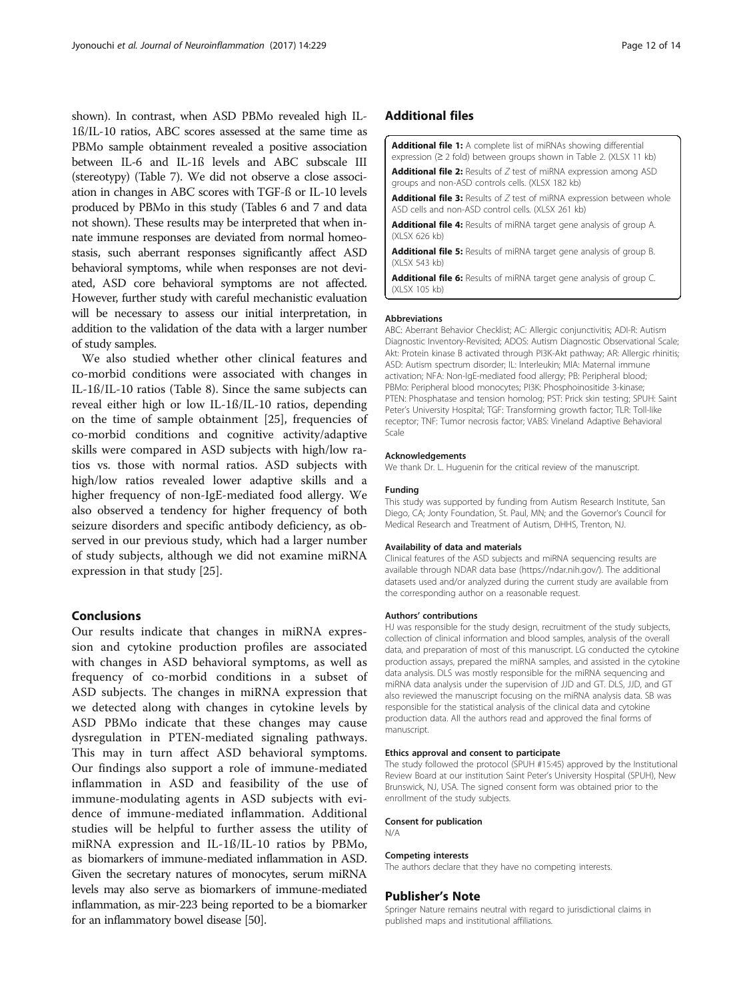<span id="page-11-0"></span>shown). In contrast, when ASD PBMo revealed high IL-1ß/IL-10 ratios, ABC scores assessed at the same time as PBMo sample obtainment revealed a positive association between IL-6 and IL-1ß levels and ABC subscale III (stereotypy) (Table [7](#page-9-0)). We did not observe a close association in changes in ABC scores with TGF-ß or IL-10 levels produced by PBMo in this study (Tables [6](#page-8-0) and [7](#page-9-0) and data not shown). These results may be interpreted that when innate immune responses are deviated from normal homeostasis, such aberrant responses significantly affect ASD behavioral symptoms, while when responses are not deviated, ASD core behavioral symptoms are not affected. However, further study with careful mechanistic evaluation will be necessary to assess our initial interpretation, in addition to the validation of the data with a larger number of study samples.

We also studied whether other clinical features and co-morbid conditions were associated with changes in IL-1ß/IL-10 ratios (Table [8](#page-9-0)). Since the same subjects can reveal either high or low IL-1ß/IL-10 ratios, depending on the time of sample obtainment [\[25\]](#page-12-0), frequencies of co-morbid conditions and cognitive activity/adaptive skills were compared in ASD subjects with high/low ratios vs. those with normal ratios. ASD subjects with high/low ratios revealed lower adaptive skills and a higher frequency of non-IgE-mediated food allergy. We also observed a tendency for higher frequency of both seizure disorders and specific antibody deficiency, as observed in our previous study, which had a larger number of study subjects, although we did not examine miRNA expression in that study [[25\]](#page-12-0).

### Conclusions

Our results indicate that changes in miRNA expression and cytokine production profiles are associated with changes in ASD behavioral symptoms, as well as frequency of co-morbid conditions in a subset of ASD subjects. The changes in miRNA expression that we detected along with changes in cytokine levels by ASD PBMo indicate that these changes may cause dysregulation in PTEN-mediated signaling pathways. This may in turn affect ASD behavioral symptoms. Our findings also support a role of immune-mediated inflammation in ASD and feasibility of the use of immune-modulating agents in ASD subjects with evidence of immune-mediated inflammation. Additional studies will be helpful to further assess the utility of miRNA expression and IL-1ß/IL-10 ratios by PBMo, as biomarkers of immune-mediated inflammation in ASD. Given the secretary natures of monocytes, serum miRNA levels may also serve as biomarkers of immune-mediated inflammation, as mir-223 being reported to be a biomarker for an inflammatory bowel disease [\[50\]](#page-13-0).

### Additional files

[Additional file 1:](dx.doi.org/10.1186/s12974-017-1003-6) A complete list of miRNAs showing differential expression (≥ 2 fold) between groups shown in Table [2.](#page-4-0) (XLSX 11 kb)

**[Additional file 2:](dx.doi.org/10.1186/s12974-017-1003-6)** Results of  $Z$  test of miRNA expression among ASD groups and non-ASD controls cells. (XLSX 182 kb)

**[Additional file 3:](dx.doi.org/10.1186/s12974-017-1003-6)** Results of  $Z$  test of miRNA expression between whole ASD cells and non-ASD control cells. (XLSX 261 kb)

[Additional file 4:](dx.doi.org/10.1186/s12974-017-1003-6) Results of miRNA target gene analysis of group A. (XLSX 626 kb)

[Additional file 5:](dx.doi.org/10.1186/s12974-017-1003-6) Results of miRNA target gene analysis of group B. (XLSX 543 kb)

[Additional file 6:](dx.doi.org/10.1186/s12974-017-1003-6) Results of miRNA target gene analysis of group C. (XLSX 105 kb)

#### Abbreviations

ABC: Aberrant Behavior Checklist; AC: Allergic conjunctivitis; ADI-R: Autism Diagnostic Inventory-Revisited; ADOS: Autism Diagnostic Observational Scale; Akt: Protein kinase B activated through PI3K-Akt pathway; AR: Allergic rhinitis; ASD: Autism spectrum disorder; IL: Interleukin; MIA: Maternal immune activation; NFA: Non-IgE-mediated food allergy; PB: Peripheral blood; PBMo: Peripheral blood monocytes; PI3K: Phosphoinositide 3-kinase; PTEN: Phosphatase and tension homolog; PST: Prick skin testing; SPUH: Saint Peter's University Hospital; TGF: Transforming growth factor; TLR: Toll-like receptor; TNF: Tumor necrosis factor; VABS: Vineland Adaptive Behavioral Scale

#### Acknowledgements

We thank Dr. L. Huguenin for the critical review of the manuscript.

#### Funding

This study was supported by funding from Autism Research Institute, San Diego, CA; Jonty Foundation, St. Paul, MN; and the Governor's Council for Medical Research and Treatment of Autism, DHHS, Trenton, NJ.

#### Availability of data and materials

Clinical features of the ASD subjects and miRNA sequencing results are available through NDAR data base ([https://ndar.nih.gov/\)](https://ndar.nih.gov/). The additional datasets used and/or analyzed during the current study are available from the corresponding author on a reasonable request.

#### Authors' contributions

HJ was responsible for the study design, recruitment of the study subjects, collection of clinical information and blood samples, analysis of the overall data, and preparation of most of this manuscript. LG conducted the cytokine production assays, prepared the miRNA samples, and assisted in the cytokine data analysis. DLS was mostly responsible for the miRNA sequencing and miRNA data analysis under the supervision of JJD and GT. DLS, JJD, and GT also reviewed the manuscript focusing on the miRNA analysis data. SB was responsible for the statistical analysis of the clinical data and cytokine production data. All the authors read and approved the final forms of manuscript.

#### Ethics approval and consent to participate

The study followed the protocol (SPUH #15:45) approved by the Institutional Review Board at our institution Saint Peter's University Hospital (SPUH), New Brunswick, NJ, USA. The signed consent form was obtained prior to the enrollment of the study subjects.

#### Consent for publication

N/A

#### Competing interests

The authors declare that they have no competing interests.

#### Publisher's Note

Springer Nature remains neutral with regard to jurisdictional claims in published maps and institutional affiliations.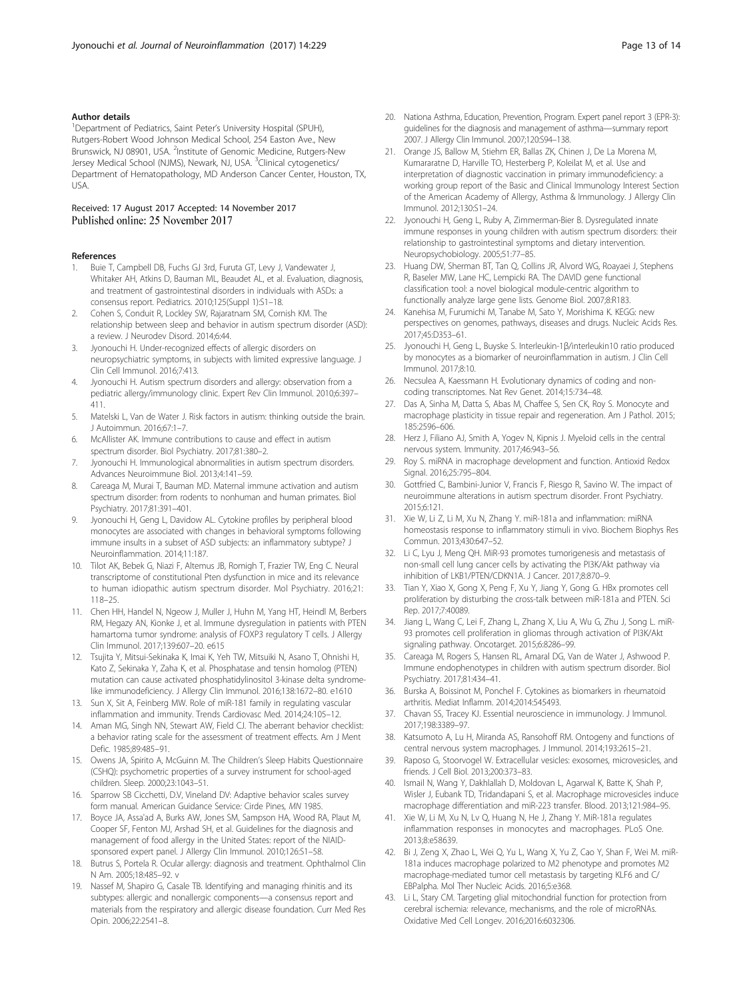### <span id="page-12-0"></span>Author details

<sup>1</sup>Department of Pediatrics, Saint Peter's University Hospital (SPUH), Rutgers-Robert Wood Johnson Medical School, 254 Easton Ave., New Brunswick, NJ 08901, USA. <sup>2</sup>Institute of Genomic Medicine, Rutgers-New Jersey Medical School (NJMS), Newark, NJ, USA. <sup>3</sup>Clinical cytogenetics/ Department of Hematopathology, MD Anderson Cancer Center, Houston, TX, USA.

# Received: 17 August 2017 Accepted: 14 November 2017<br>Published online: 25 November 2017

### References

- 1. Buie T, Campbell DB, Fuchs GJ 3rd, Furuta GT, Levy J, Vandewater J, Whitaker AH, Atkins D, Bauman ML, Beaudet AL, et al. Evaluation, diagnosis, and treatment of gastrointestinal disorders in individuals with ASDs: a consensus report. Pediatrics. 2010;125(Suppl 1):S1–18.
- 2. Cohen S, Conduit R, Lockley SW, Rajaratnam SM, Cornish KM. The relationship between sleep and behavior in autism spectrum disorder (ASD): a review. J Neurodev Disord. 2014;6:44.
- 3. Jyonouchi H. Under-recognized effects of allergic disorders on neuropsychiatric symptoms, in subjects with limited expressive language. J Clin Cell Immunol. 2016;7:413.
- 4. Jyonouchi H. Autism spectrum disorders and allergy: observation from a pediatric allergy/immunology clinic. Expert Rev Clin Immunol. 2010;6:397– 411.
- 5. Matelski L, Van de Water J. Risk factors in autism: thinking outside the brain. J Autoimmun. 2016;67:1–7.
- 6. McAllister AK. Immune contributions to cause and effect in autism spectrum disorder. Biol Psychiatry. 2017;81:380–2.
- 7. Jyonouchi H. Immunological abnormalities in autism spectrum disorders. Advances Neuroimmune Biol. 2013;4:141–59.
- 8. Careaga M, Murai T, Bauman MD. Maternal immune activation and autism spectrum disorder: from rodents to nonhuman and human primates. Biol Psychiatry. 2017;81:391–401.
- 9. Jyonouchi H, Geng L, Davidow AL. Cytokine profiles by peripheral blood monocytes are associated with changes in behavioral symptoms following immune insults in a subset of ASD subjects: an inflammatory subtype? J Neuroinflammation. 2014;11:187.
- 10. Tilot AK, Bebek G, Niazi F, Altemus JB, Romigh T, Frazier TW, Eng C. Neural transcriptome of constitutional Pten dysfunction in mice and its relevance to human idiopathic autism spectrum disorder. Mol Psychiatry. 2016;21: 118–25.
- 11. Chen HH, Handel N, Ngeow J, Muller J, Huhn M, Yang HT, Heindl M, Berbers RM, Hegazy AN, Kionke J, et al. Immune dysregulation in patients with PTEN hamartoma tumor syndrome: analysis of FOXP3 regulatory T cells. J Allergy Clin Immunol. 2017;139:607–20. e615
- 12. Tsujita Y, Mitsui-Sekinaka K, Imai K, Yeh TW, Mitsuiki N, Asano T, Ohnishi H, Kato Z, Sekinaka Y, Zaha K, et al. Phosphatase and tensin homolog (PTEN) mutation can cause activated phosphatidylinositol 3-kinase delta syndromelike immunodeficiency. J Allergy Clin Immunol. 2016;138:1672–80. e1610
- 13. Sun X, Sit A, Feinberg MW. Role of miR-181 family in regulating vascular inflammation and immunity. Trends Cardiovasc Med. 2014;24:105–12.
- 14. Aman MG, Singh NN, Stewart AW, Field CJ. The aberrant behavior checklist: a behavior rating scale for the assessment of treatment effects. Am J Ment Defic. 1985;89:485–91.
- 15. Owens JA, Spirito A, McGuinn M. The Children's Sleep Habits Questionnaire (CSHQ): psychometric properties of a survey instrument for school-aged children. Sleep. 2000;23:1043–51.
- 16. Sparrow SB Cicchetti, D.V, Vineland DV: Adaptive behavior scales survey form manual. American Guidance Service: Cirde Pines, MN 1985.
- 17. Boyce JA, Assa'ad A, Burks AW, Jones SM, Sampson HA, Wood RA, Plaut M, Cooper SF, Fenton MJ, Arshad SH, et al. Guidelines for the diagnosis and management of food allergy in the United States: report of the NIAIDsponsored expert panel. J Allergy Clin Immunol. 2010;126:S1–58.
- 18. Butrus S, Portela R. Ocular allergy: diagnosis and treatment. Ophthalmol Clin N Am. 2005;18:485–92. v
- 19. Nassef M, Shapiro G, Casale TB. Identifying and managing rhinitis and its subtypes: allergic and nonallergic components—a consensus report and materials from the respiratory and allergic disease foundation. Curr Med Res Opin. 2006;22:2541–8.
- 20. Nationa Asthma, Education, Prevention, Program. Expert panel report 3 (EPR-3):
- guidelines for the diagnosis and management of asthma—summary report 2007. J Allergy Clin Immunol. 2007;120:S94–138. 21. Orange JS, Ballow M, Stiehm ER, Ballas ZK, Chinen J, De La Morena M, Kumararatne D, Harville TO, Hesterberg P, Koleilat M, et al. Use and interpretation of diagnostic vaccination in primary immunodeficiency: a working group report of the Basic and Clinical Immunology Interest Section
- of the American Academy of Allergy, Asthma & Immunology. J Allergy Clin Immunol. 2012;130:S1–24. 22. Jyonouchi H, Geng L, Ruby A, Zimmerman-Bier B. Dysregulated innate immune responses in young children with autism spectrum disorders: their
- relationship to gastrointestinal symptoms and dietary intervention. Neuropsychobiology. 2005;51:77–85.
- 23. Huang DW, Sherman BT, Tan Q, Collins JR, Alvord WG, Roayaei J, Stephens R, Baseler MW, Lane HC, Lempicki RA. The DAVID gene functional classification tool: a novel biological module-centric algorithm to functionally analyze large gene lists. Genome Biol. 2007;8:R183.
- 24. Kanehisa M, Furumichi M, Tanabe M, Sato Y, Morishima K. KEGG: new perspectives on genomes, pathways, diseases and drugs. Nucleic Acids Res. 2017;45:D353–61.
- 25. Jyonouchi H, Geng L, Buyske S. Interleukin-1β/interleukin10 ratio produced by monocytes as a biomarker of neuroinflammation in autism. J Clin Cell Immunol. 2017;8:10.
- 26. Necsulea A, Kaessmann H. Evolutionary dynamics of coding and noncoding transcriptomes. Nat Rev Genet. 2014;15:734–48.
- 27. Das A, Sinha M, Datta S, Abas M, Chaffee S, Sen CK, Roy S. Monocyte and macrophage plasticity in tissue repair and regeneration. Am J Pathol. 2015; 185:2596–606.
- 28. Herz J, Filiano AJ, Smith A, Yogev N, Kipnis J. Myeloid cells in the central nervous system. Immunity. 2017;46:943–56.
- 29. Roy S. miRNA in macrophage development and function. Antioxid Redox Signal. 2016;25:795–804.
- 30. Gottfried C, Bambini-Junior V, Francis F, Riesgo R, Savino W. The impact of neuroimmune alterations in autism spectrum disorder. Front Psychiatry. 2015;6:121.
- 31. Xie W, Li Z, Li M, Xu N, Zhang Y. miR-181a and inflammation: miRNA homeostasis response to inflammatory stimuli in vivo. Biochem Biophys Res Commun. 2013;430:647–52.
- 32. Li C, Lyu J, Meng QH. MiR-93 promotes tumorigenesis and metastasis of non-small cell lung cancer cells by activating the PI3K/Akt pathway via inhibition of LKB1/PTEN/CDKN1A. J Cancer. 2017;8:870–9.
- 33. Tian Y, Xiao X, Gong X, Peng F, Xu Y, Jiang Y, Gong G. HBx promotes cell proliferation by disturbing the cross-talk between miR-181a and PTEN. Sci Rep. 2017;7:40089.
- 34. Jiang L, Wang C, Lei F, Zhang L, Zhang X, Liu A, Wu G, Zhu J, Song L. miR-93 promotes cell proliferation in gliomas through activation of PI3K/Akt signaling pathway. Oncotarget. 2015;6:8286–99.
- 35. Careaga M, Rogers S, Hansen RL, Amaral DG, Van de Water J, Ashwood P. Immune endophenotypes in children with autism spectrum disorder. Biol Psychiatry. 2017;81:434–41.
- 36. Burska A, Boissinot M, Ponchel F. Cytokines as biomarkers in rheumatoid arthritis. Mediat Inflamm. 2014;2014:545493.
- 37. Chavan SS, Tracey KJ. Essential neuroscience in immunology. J Immunol. 2017;198:3389–97.
- 38. Katsumoto A, Lu H, Miranda AS, Ransohoff RM. Ontogeny and functions of central nervous system macrophages. J Immunol. 2014;193:2615–21.
- 39. Raposo G, Stoorvogel W. Extracellular vesicles: exosomes, microvesicles, and friends. J Cell Biol. 2013;200:373–83.
- 40. Ismail N, Wang Y, Dakhlallah D, Moldovan L, Agarwal K, Batte K, Shah P, Wisler J, Eubank TD, Tridandapani S, et al. Macrophage microvesicles induce macrophage differentiation and miR-223 transfer. Blood. 2013;121:984–95.
- 41. Xie W, Li M, Xu N, Lv Q, Huang N, He J, Zhang Y. MiR-181a regulates inflammation responses in monocytes and macrophages. PLoS One. 2013;8:e58639.
- 42. Bi J, Zeng X, Zhao L, Wei Q, Yu L, Wang X, Yu Z, Cao Y, Shan F, Wei M. miR-181a induces macrophage polarized to M2 phenotype and promotes M2 macrophage-mediated tumor cell metastasis by targeting KLF6 and C/ EBPalpha. Mol Ther Nucleic Acids. 2016;5:e368.
- 43. Li L, Stary CM. Targeting glial mitochondrial function for protection from cerebral ischemia: relevance, mechanisms, and the role of microRNAs. Oxidative Med Cell Longev. 2016;2016:6032306.